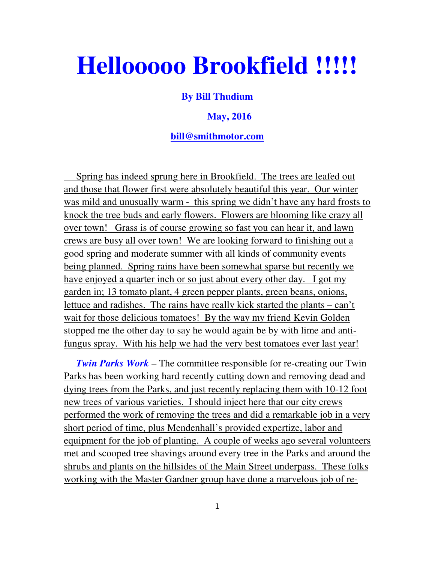# **Hellooooo Brookfield !!!!!**

### **By Bill Thudium**

#### **May, 2016**

#### **bill@smithmotor.com**

 Spring has indeed sprung here in Brookfield. The trees are leafed out and those that flower first were absolutely beautiful this year. Our winter was mild and unusually warm - this spring we didn't have any hard frosts to knock the tree buds and early flowers. Flowers are blooming like crazy all over town! Grass is of course growing so fast you can hear it, and lawn crews are busy all over town! We are looking forward to finishing out a good spring and moderate summer with all kinds of community events being planned. Spring rains have been somewhat sparse but recently we have enjoyed a quarter inch or so just about every other day. I got my garden in; 13 tomato plant, 4 green pepper plants, green beans, onions, lettuce and radishes. The rains have really kick started the plants – can't wait for those delicious tomatoes! By the way my friend Kevin Golden stopped me the other day to say he would again be by with lime and antifungus spray. With his help we had the very best tomatoes ever last year!

 *Twin Parks Work* – The committee responsible for re-creating our Twin Parks has been working hard recently cutting down and removing dead and dying trees from the Parks, and just recently replacing them with 10-12 foot new trees of various varieties. I should inject here that our city crews performed the work of removing the trees and did a remarkable job in a very short period of time, plus Mendenhall's provided expertize, labor and equipment for the job of planting. A couple of weeks ago several volunteers met and scooped tree shavings around every tree in the Parks and around the shrubs and plants on the hillsides of the Main Street underpass. These folks working with the Master Gardner group have done a marvelous job of re-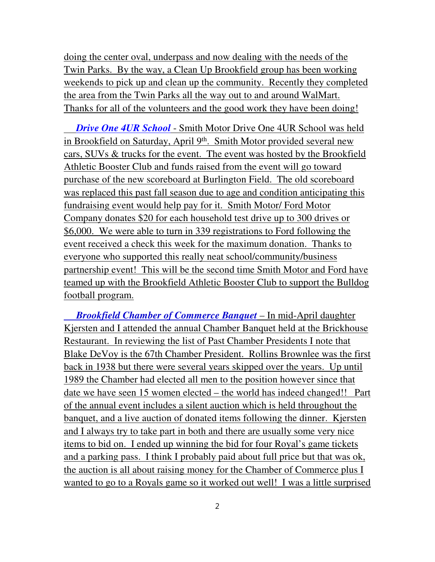doing the center oval, underpass and now dealing with the needs of the Twin Parks. By the way, a Clean Up Brookfield group has been working weekends to pick up and clean up the community. Recently they completed the area from the Twin Parks all the way out to and around WalMart. Thanks for all of the volunteers and the good work they have been doing!

 *Drive One 4UR School* - Smith Motor Drive One 4UR School was held in Brookfield on Saturday, April 9<sup>th</sup>. Smith Motor provided several new cars, SUVs & trucks for the event. The event was hosted by the Brookfield Athletic Booster Club and funds raised from the event will go toward purchase of the new scoreboard at Burlington Field. The old scoreboard was replaced this past fall season due to age and condition anticipating this fundraising event would help pay for it. Smith Motor/ Ford Motor Company donates \$20 for each household test drive up to 300 drives or \$6,000. We were able to turn in 339 registrations to Ford following the event received a check this week for the maximum donation. Thanks to everyone who supported this really neat school/community/business partnership event! This will be the second time Smith Motor and Ford have teamed up with the Brookfield Athletic Booster Club to support the Bulldog football program.

 *Brookfield Chamber of Commerce Banquet* – In mid-April daughter Kjersten and I attended the annual Chamber Banquet held at the Brickhouse Restaurant. In reviewing the list of Past Chamber Presidents I note that Blake DeVoy is the 67th Chamber President. Rollins Brownlee was the first back in 1938 but there were several years skipped over the years. Up until 1989 the Chamber had elected all men to the position however since that date we have seen 15 women elected – the world has indeed changed!! Part of the annual event includes a silent auction which is held throughout the banquet, and a live auction of donated items following the dinner. Kjersten and I always try to take part in both and there are usually some very nice items to bid on. I ended up winning the bid for four Royal's game tickets and a parking pass. I think I probably paid about full price but that was ok, the auction is all about raising money for the Chamber of Commerce plus I wanted to go to a Royals game so it worked out well! I was a little surprised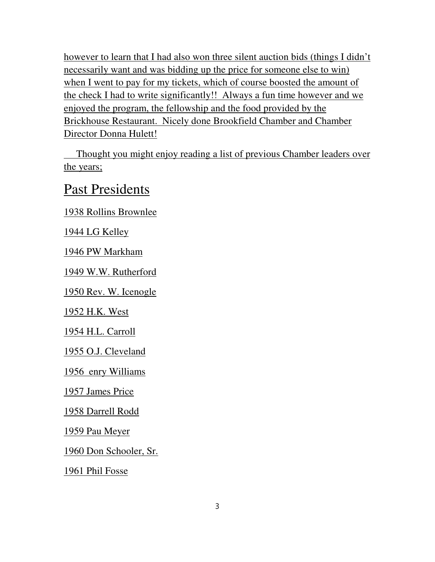however to learn that I had also won three silent auction bids (things I didn't necessarily want and was bidding up the price for someone else to win) when I went to pay for my tickets, which of course boosted the amount of the check I had to write significantly!! Always a fun time however and we enjoyed the program, the fellowship and the food provided by the Brickhouse Restaurant. Nicely done Brookfield Chamber and Chamber Director Donna Hulett!

 Thought you might enjoy reading a list of previous Chamber leaders over the years;

## Past Presidents

1938 Rollins Brownlee

1944 LG Kelley

1946 PW Markham

1949 W.W. Rutherford

1950 Rev. W. Icenogle

1952 H.K. West

1954 H.L. Carroll

1955 O.J. Cleveland

1956 enry Williams

1957 James Price

1958 Darrell Rodd

1959 Pau Meyer

1960 Don Schooler, Sr.

1961 Phil Fosse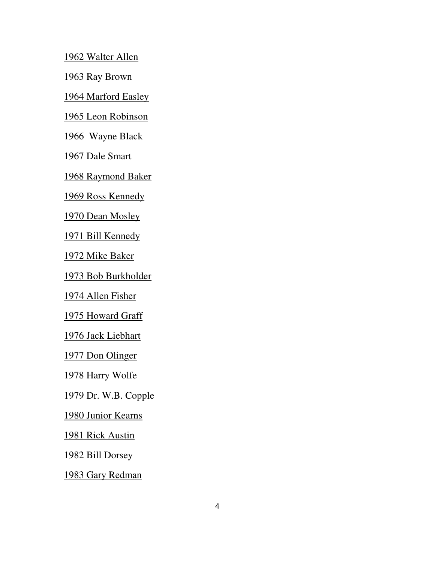1962 Walter Allen

1963 Ray Brown

1964 Marford Easley

1965 Leon Robinson

1966 Wayne Black

1967 Dale Smart

1968 Raymond Baker

1969 Ross Kennedy

1970 Dean Mosley

1971 Bill Kennedy

1972 Mike Baker

1973 Bob Burkholder

1974 Allen Fisher

1975 Howard Graff

1976 Jack Liebhart

1977 Don Olinger

1978 Harry Wolfe

1979 Dr. W.B. Copple

1980 Junior Kearns

1981 Rick Austin

1982 Bill Dorsey

1983 Gary Redman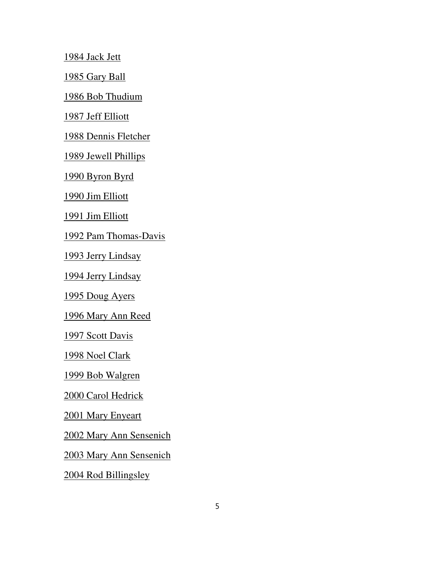1984 Jack Jett

1985 Gary Ball

1986 Bob Thudium

1987 Jeff Elliott

1988 Dennis Fletcher

1989 Jewell Phillips

1990 Byron Byrd

1990 Jim Elliott

1991 Jim Elliott

1992 Pam Thomas-Davis

1993 Jerry Lindsay

1994 Jerry Lindsay

1995 Doug Ayers

1996 Mary Ann Reed

1997 Scott Davis

1998 Noel Clark

1999 Bob Walgren

2000 Carol Hedrick

2001 Mary Enyeart

2002 Mary Ann Sensenich

2003 Mary Ann Sensenich

2004 Rod Billingsley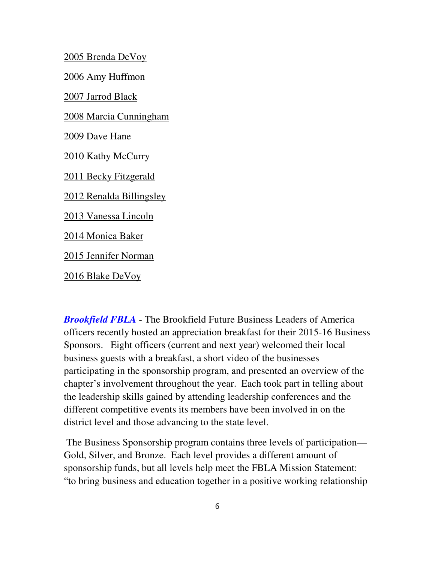2005 Brenda DeVoy

2006 Amy Huffmon

2007 Jarrod Black

2008 Marcia Cunningham

2009 Dave Hane

2010 Kathy McCurry

2011 Becky Fitzgerald

2012 Renalda Billingsley

2013 Vanessa Lincoln

2014 Monica Baker

2015 Jennifer Norman

2016 Blake DeVoy

*Brookfield FBLA* - The Brookfield Future Business Leaders of America officers recently hosted an appreciation breakfast for their 2015-16 Business Sponsors. Eight officers (current and next year) welcomed their local business guests with a breakfast, a short video of the businesses participating in the sponsorship program, and presented an overview of the chapter's involvement throughout the year. Each took part in telling about the leadership skills gained by attending leadership conferences and the different competitive events its members have been involved in on the district level and those advancing to the state level.

The Business Sponsorship program contains three levels of participation— Gold, Silver, and Bronze. Each level provides a different amount of sponsorship funds, but all levels help meet the FBLA Mission Statement: "to bring business and education together in a positive working relationship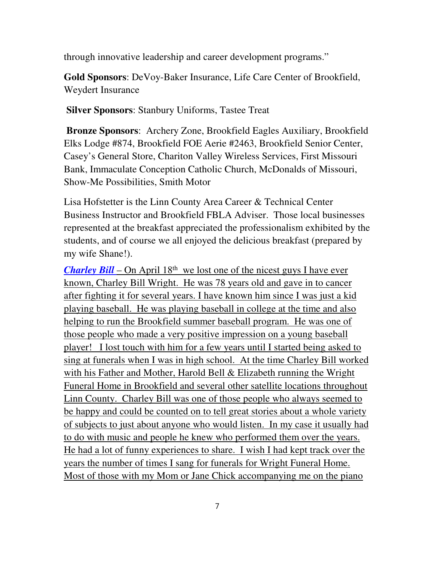through innovative leadership and career development programs."

**Gold Sponsors**: DeVoy-Baker Insurance, Life Care Center of Brookfield, Weydert Insurance

**Silver Sponsors**: Stanbury Uniforms, Tastee Treat

**Bronze Sponsors**: Archery Zone, Brookfield Eagles Auxiliary, Brookfield Elks Lodge #874, Brookfield FOE Aerie #2463, Brookfield Senior Center, Casey's General Store, Chariton Valley Wireless Services, First Missouri Bank, Immaculate Conception Catholic Church, McDonalds of Missouri, Show-Me Possibilities, Smith Motor

Lisa Hofstetter is the Linn County Area Career & Technical Center Business Instructor and Brookfield FBLA Adviser. Those local businesses represented at the breakfast appreciated the professionalism exhibited by the students, and of course we all enjoyed the delicious breakfast (prepared by my wife Shane!).

*Charley Bill* – On April  $18<sup>th</sup>$  we lost one of the nicest guys I have ever known, Charley Bill Wright. He was 78 years old and gave in to cancer after fighting it for several years. I have known him since I was just a kid playing baseball. He was playing baseball in college at the time and also helping to run the Brookfield summer baseball program. He was one of those people who made a very positive impression on a young baseball player! I lost touch with him for a few years until I started being asked to sing at funerals when I was in high school. At the time Charley Bill worked with his Father and Mother, Harold Bell & Elizabeth running the Wright Funeral Home in Brookfield and several other satellite locations throughout Linn County. Charley Bill was one of those people who always seemed to be happy and could be counted on to tell great stories about a whole variety of subjects to just about anyone who would listen. In my case it usually had to do with music and people he knew who performed them over the years. He had a lot of funny experiences to share. I wish I had kept track over the years the number of times I sang for funerals for Wright Funeral Home. Most of those with my Mom or Jane Chick accompanying me on the piano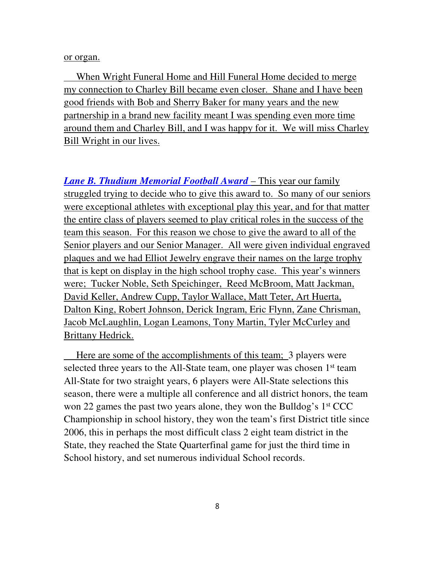#### or organ.

 When Wright Funeral Home and Hill Funeral Home decided to merge my connection to Charley Bill became even closer. Shane and I have been good friends with Bob and Sherry Baker for many years and the new partnership in a brand new facility meant I was spending even more time around them and Charley Bill, and I was happy for it. We will miss Charley Bill Wright in our lives.

*Lane B. Thudium Memorial Football Award* – This year our family struggled trying to decide who to give this award to. So many of our seniors were exceptional athletes with exceptional play this year, and for that matter the entire class of players seemed to play critical roles in the success of the team this season. For this reason we chose to give the award to all of the Senior players and our Senior Manager. All were given individual engraved plaques and we had Elliot Jewelry engrave their names on the large trophy that is kept on display in the high school trophy case. This year's winners were; Tucker Noble, Seth Speichinger, Reed McBroom, Matt Jackman, David Keller, Andrew Cupp, Taylor Wallace, Matt Teter, Art Huerta, Dalton King, Robert Johnson, Derick Ingram, Eric Flynn, Zane Chrisman, Jacob McLaughlin, Logan Leamons, Tony Martin, Tyler McCurley and Brittany Hedrick.

 Here are some of the accomplishments of this team; 3 players were selected three years to the All-State team, one player was chosen 1<sup>st</sup> team All-State for two straight years, 6 players were All-State selections this season, there were a multiple all conference and all district honors, the team won 22 games the past two years alone, they won the Bulldog's 1st CCC Championship in school history, they won the team's first District title since 2006, this in perhaps the most difficult class 2 eight team district in the State, they reached the State Quarterfinal game for just the third time in School history, and set numerous individual School records.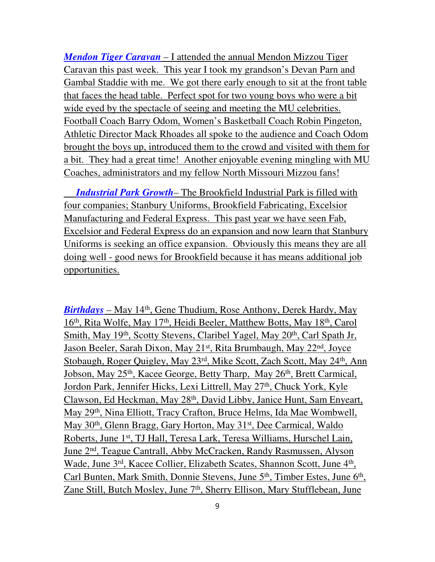*Mendon Tiger Caravan* – I attended the annual Mendon Mizzou Tiger Caravan this past week. This year I took my grandson's Devan Parn and Gambal Staddie with me. We got there early enough to sit at the front table that faces the head table. Perfect spot for two young boys who were a bit wide eyed by the spectacle of seeing and meeting the MU celebrities. Football Coach Barry Odom, Women's Basketball Coach Robin Pingeton, Athletic Director Mack Rhoades all spoke to the audience and Coach Odom brought the boys up, introduced them to the crowd and visited with them for a bit. They had a great time! Another enjoyable evening mingling with MU Coaches, administrators and my fellow North Missouri Mizzou fans!

 *Industrial Park Growth*– The Brookfield Industrial Park is filled with four companies; Stanbury Uniforms, Brookfield Fabricating, Excelsior Manufacturing and Federal Express. This past year we have seen Fab, Excelsior and Federal Express do an expansion and now learn that Stanbury Uniforms is seeking an office expansion. Obviously this means they are all doing well - good news for Brookfield because it has means additional job opportunities.

*Birthdays* – May 14<sup>th</sup>, Gene Thudium, Rose Anthony, Derek Hardy, May 16th, Rita Wolfe, May 17th, Heidi Beeler, Matthew Botts, May 18th, Carol Smith, May 19<sup>th</sup>, Scotty Stevens, Claribel Yagel, May 20<sup>th</sup>, Carl Spath Jr, Jason Beeler, Sarah Dixon, May 21st, Rita Brumbaugh, May 22nd, Joyce Stobaugh, Roger Quigley, May 23<sup>rd</sup>, Mike Scott, Zach Scott, May 24<sup>th</sup>, Ann Jobson, May 25<sup>th</sup>, Kacee George, Betty Tharp, May 26<sup>th</sup>, Brett Carmical, Jordon Park, Jennifer Hicks, Lexi Littrell, May 27<sup>th</sup>, Chuck York, Kyle Clawson, Ed Heckman, May 28th, David Libby, Janice Hunt, Sam Enyeart, May 29th, Nina Elliott, Tracy Crafton, Bruce Helms, Ida Mae Wombwell, May 30th, Glenn Bragg, Gary Horton, May 31st, Dee Carmical, Waldo Roberts, June 1st, TJ Hall, Teresa Lark, Teresa Williams, Hurschel Lain, June 2nd, Teague Cantrall, Abby McCracken, Randy Rasmussen, Alyson Wade, June 3<sup>rd</sup>, Kacee Collier, Elizabeth Scates, Shannon Scott, June 4<sup>th</sup>, Carl Bunten, Mark Smith, Donnie Stevens, June 5<sup>th</sup>, Timber Estes, June 6<sup>th</sup>, Zane Still, Butch Mosley, June 7<sup>th</sup>, Sherry Ellison, Mary Stufflebean, June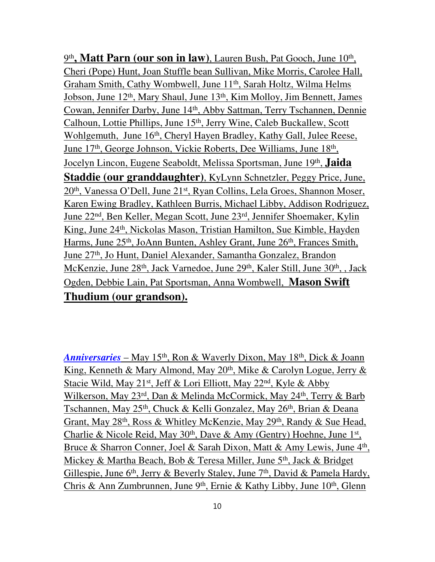9<sup>th</sup>, Matt Parn (our son in law), Lauren Bush, Pat Gooch, June 10<sup>th</sup>, Cheri (Pope) Hunt, Joan Stuffle bean Sullivan, Mike Morris, Carolee Hall, Graham Smith, Cathy Wombwell, June 11th, Sarah Holtz, Wilma Helms Jobson, June 12th, Mary Shaul, June 13th, Kim Molloy, Jim Bennett, James Cowan, Jennifer Darby, June 14th, Abby Sattman, Terry Tschannen, Dennie Calhoun, Lottie Phillips, June 15th, Jerry Wine, Caleb Buckallew, Scott Wohlgemuth, June 16<sup>th</sup>, Cheryl Hayen Bradley, Kathy Gall, Julee Reese, June 17<sup>th</sup>, George Johnson, Vickie Roberts, Dee Williams, June 18<sup>th</sup>, Jocelyn Lincon, Eugene Seaboldt, Melissa Sportsman, June 19th , **Jaida Staddie (our granddaughter)**, KyLynn Schnetzler, Peggy Price, June, 20th, Vanessa O'Dell, June 21st, Ryan Collins, Lela Groes, Shannon Moser, Karen Ewing Bradley, Kathleen Burris, Michael Libby, Addison Rodriguez, June 22nd, Ben Keller, Megan Scott, June 23rd, Jennifer Shoemaker, Kylin King, June 24<sup>th</sup>, Nickolas Mason, Tristian Hamilton, Sue Kimble, Hayden Harms, June 25<sup>th</sup>, JoAnn Bunten, Ashley Grant, June 26<sup>th</sup>, Frances Smith, June 27th, Jo Hunt, Daniel Alexander, Samantha Gonzalez, Brandon McKenzie, June 28<sup>th</sup>, Jack Varnedoe, June 29<sup>th</sup>, Kaler Still, June 30<sup>th</sup>, , Jack Ogden, Debbie Lain, Pat Sportsman, Anna Wombwell, **Mason Swift Thudium (our grandson).** 

*Anniversaries* – May 15th, Ron & Waverly Dixon, May 18th, Dick & Joann King, Kenneth & Mary Almond, May  $20<sup>th</sup>$ , Mike & Carolyn Logue, Jerry & Stacie Wild, May 21<sup>st</sup>, Jeff & Lori Elliott, May 22<sup>nd</sup>, Kyle & Abby Wilkerson, May 23rd, Dan & Melinda McCormick, May 24th, Terry & Barb Tschannen, May 25<sup>th</sup>, Chuck & Kelli Gonzalez, May 26<sup>th</sup>, Brian & Deana Grant, May 28<sup>th</sup>, Ross & Whitley McKenzie, May 29<sup>th</sup>, Randy & Sue Head, Charlie & Nicole Reid, May 30<sup>th</sup>, Dave & Amy (Gentry) Hoehne, June 1<sup>st</sup>, Bruce & Sharron Conner, Joel & Sarah Dixon, Matt & Amy Lewis, June 4<sup>th</sup>, Mickey & Martha Beach, Bob & Teresa Miller, June 5th, Jack & Bridget Gillespie, June 6<sup>th</sup>, Jerry & Beverly Staley, June 7<sup>th</sup>, David & Pamela Hardy, Chris & Ann Zumbrunnen, June 9<sup>th</sup>, Ernie & Kathy Libby, June 10<sup>th</sup>, Glenn